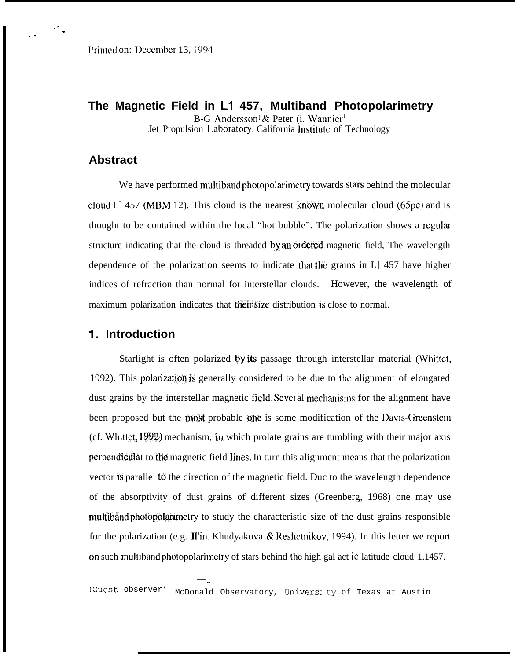**The Magnetic Field in L1 457, Multiband Photopolarimetry** B-G Andersson<sup>1</sup> & Peter (i. Wannier<sup>1</sup> Jet Propulsion 1,aboratory, California lnstitutc of Technology

## **Abstract**

,, .

. .

We have performed multiband photopolarimctry towards stars behind the molecular cloud L] 457 (MBM 12). This cloud is the nearest known molecular cloud (65pc) and is thought to be contained within the local "hot bubble". The polarization shows a regular structure indicating that the cloud is threaded by an ordered magnetic field, The wavelength dependence of the polarization seems to indicate that the grains in L] 457 have higher indices of refraction than normal for interstellar clouds. However, the wavelength of maximum polarization indicates that their size distribution is close to normal.

### 1. **Introduction**

Starlight is often polarized by its passage through interstellar material (Whittet, 1992). This polarizdon is generally considered to be due to the alignment of elongated dust grains by the interstellar magnetic field. Several mechanisms for the alignment have been proposed but the most probable one is some modification of the Davis-Grecnstein (cf. Whittet, 1992) mechanism, in which prolate grains are tumbling with their major axis perpendicular to the magnetic field lines. In turn this alignment means that the polarization vector is parallel to the direction of the magnetic field. Duc to the wavelength dependence of the absorptivity of dust grains of different sizes (Greenberg, 1968) one may use multiband photopolarimetry to study the characteristic size of the dust grains responsible for the polarization (e.g. 11'in, Khudyakova & Reshctnikov, 1994). In this letter we report on such multiband photopolarimetry of stars behind the high gal act ic latitude cloud 1.1457.

 $-$  .

<sup>1</sup> Guest observer' McDonald Observatory, University of Texas at Austin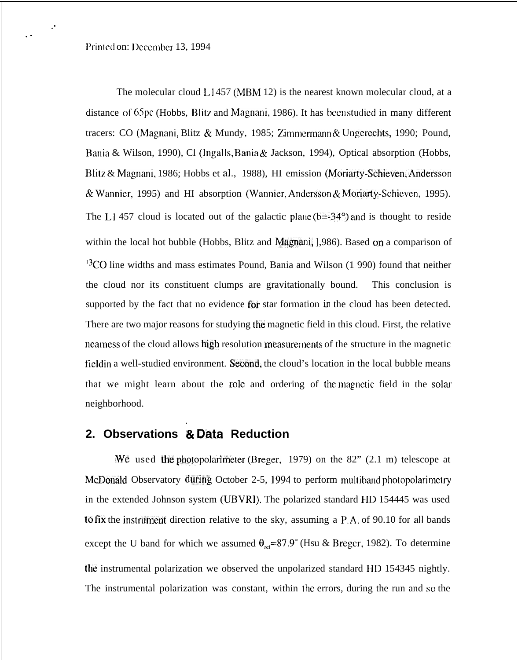,.

. .

The molecular cloud  $L1457$  (MBM 12) is the nearest known molecular cloud, at a distance of 65pc (Hobbs, Blitz and Magnani, 1986). It has been studied in many different tracers: CO (Magnani, Blitz & Mundy, 1985; Zimmermann & Ungerechts, 1990; Pound, Bania & Wilson, 1990), Cl (Ingalls, Bania & Jackson, 1994), Optical absorption (Hobbs, Blitz & Magnani, 1986; Hobbs et al,, 1988), HI emission (Moriarty-Schieven, Andersson & Wannier, 1995) and HI absorption (Wannier, Andersson & Moriarty-Schieven, 1995). The L1457 cloud is located out of the galactic plane ( $b=34^{\circ}$ ) and is thought to reside within the local hot bubble (Hobbs, Blitz and Magnani, 1,986). Based on a comparison of  $13$ CO line widths and mass estimates Pound, Bania and Wilson (1 990) found that neither the cloud nor its constituent clumps are gravitationally bound. This conclusion is supported by the fact that no evidence for star formation in the cloud has been detected. There are two major reasons for studying the magnetic field in this cloud. First, the relative nearness of the cloud allows high resolution measurements of the structure in the magnetic fieldin a well-studied environment. Second, the cloud's location in the local bubble means that we might learn about the role and ordering of the magnetic field in the solar neighborhood.

### . **2. Observations & Data Reduction**

We used the photopolarimeter (Breger, 1979) on the 82"  $(2.1 \text{ m})$  telescope at McDonald Observatory during October 2-5, 1994 to perform multiband photopolarimetry in the extended Johnson system (UBVRI). The polarized standard HI) 154445 was used to fix the instrument direction relative to the sky, assuming a  $P.A.$  of 90.10 for all bands except the U band for which we assumed  $\theta_{\text{ref}}$ =87.9° (Hsu & Breger, 1982). To determine the instrumental polarization we observed the unpolarized standard HD 154345 nightly. The instrumental polarization was constant, within Ihc errors, during the run and so the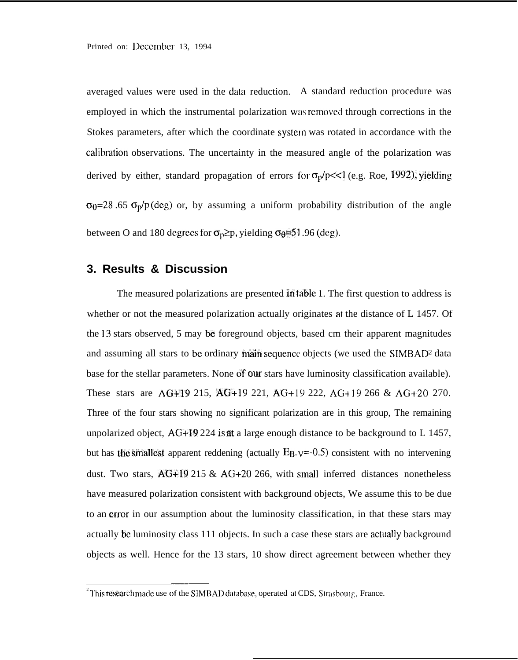averaged values were used in the data reduction. A standard reduction procedure was employed in which the instrumental polarization was removed through corrections in the Stokes parameters, after which the coordinate system was rotated in accordance with the calibration observations. The uncertainty in the measured angle of the polarization was derived by either, standard propagation of errors for  $\sigma_p/p \ll 1$  (e.g. Roe, 1992), yielding  $\sigma_{\theta}$ =28 .65  $\sigma_{\theta}$ /p(deg) or, by assuming a uniform probability distribution of the angle between O and 180 degrees for  $\sigma_p \geq p$ , yielding  $\sigma_p = 51.96$  (deg).

### **3. Results & Discussion**

The measured polarizations are presented In table 1. The first question to address is whether or not the measured polarization actually originates at the distance of L 1457. Of the 13 stars observed, 5 may be foreground objects, based cm their apparent magnitudes and assuming all stars to be ordinary main sequence objects (we used the  $SIMBAD<sup>2</sup>$  data base for the stellar parameters. None of our stars have luminosity classification available). These stars are AG+19 215, AG+19 221, AG+19 222, AG+19 266 & AG+20 270. Three of the four stars showing no significant polarization are in this group, The remaining unpolarized object,  $AG+19\,224$  is at a large enough distance to be background to L 1457, but has the smallest apparent reddening (actually  $E_{B-V}$ =0.5) consistent with no intervening dust. Two stars,  $\overrightarrow{AG+19}$  215 &  $\overrightarrow{AG+20}$  266, with small inferred distances nonetheless have measured polarization consistent with background objects, We assume this to be due to an error in our assumption about the luminosity classification, in that these stars may actually be luminosity class 111 objects. In such a case these stars are actuatly background objects as well. Hence for the 13 stars, 10 show direct agreement between whether they

——

<sup>&</sup>lt;sup>2</sup>This research made use of the SIMBAD database, operated at CDS, Strasbourg, France.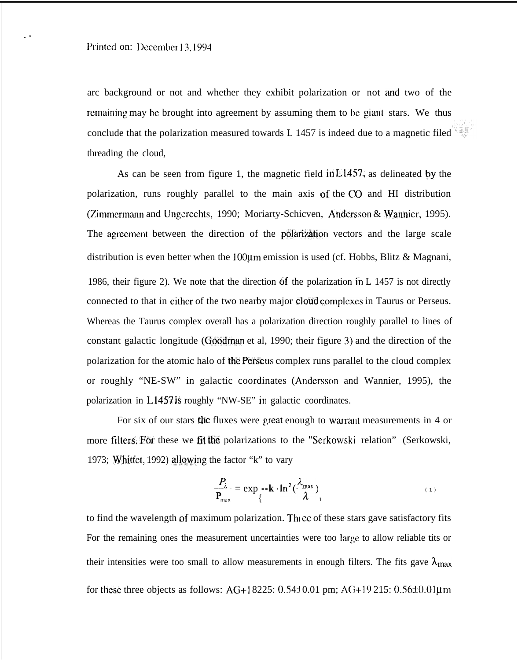arc background or not and whether they exhibit polarization or not and two of the remaining may be brought into agreement by assuming them to be giant stars. We thus conclude that the polarization measured towards L 1457 is indeed due to a magnetic filed threading the cloud,

As can be seen from figure 1, the magnetic field in L1457, as delineated by the polarization, runs roughly parallel to the main axis of the CO and HI distribution (Zimmermann and Ungerechts, 1990; Moriarty-Schicven, Andersson & Wannier, 1995). The agreement between the direction of the polarization vectors and the large scale distribution is even better when the 100 $\mu$ m emission is used (cf. Hobbs, Blitz & Magnani, 1986, their figure 2). We note that the direction of the polarization in L 1457 is not directly connected to that in either of the two nearby major cloud complexes in Taurus or Perseus. Whereas the Taurus complex overall has a polarization direction roughly parallel to lines of constant galactic longitude (Goodman et al, 1990; their figure 3) and the direction of the polarization for the atomic halo of the Perseus complex runs parallel to the cloud complex or roughly "NE-SW" in galactic coordinates (Andcrsson and Wannier, 1995), the polarization in L145'7 is roughly "NW-SE" in galactic coordinates.

For six of our stars the fluxes were great enough to warrant measurements in  $4$  or more filters, For these we fit the polarizations to the "Serkowski relation" (Serkowski, 1973; Whittet, 1992) allowing the factor "k" to vary

$$
\frac{P_{\lambda}}{P_{\text{max}}} = \exp_{\theta} -k \cdot \ln^2(\frac{\lambda_{\text{max}}}{\lambda})
$$
\n(1)

to find the wavelength of maximum polarization. Three of these stars gave satisfactory fits For the remaining ones the measurement uncertainties were too large to allow reliable tits or their intensities were too small to allow measurements in enough filters. The fits gave  $\lambda_{\text{max}}$ for these three objects as follows: AG+18225:  $0.54\pm0.01$  pm; AG+19 215:  $0.56\pm0.01$ µm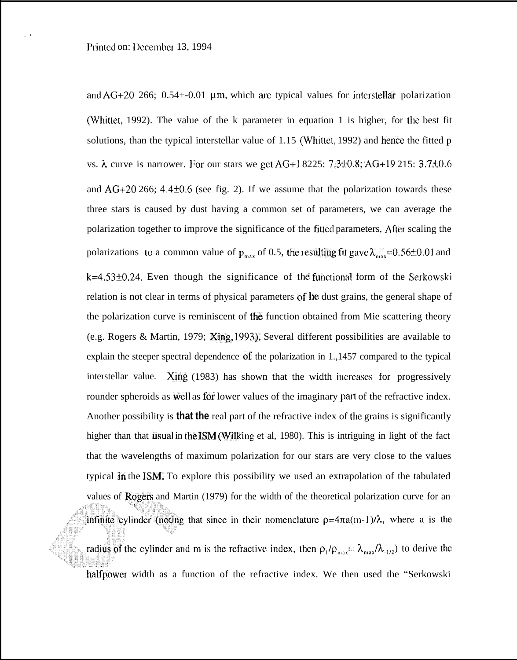,.

and  $AG+20$  266; 0.54+-0.01 µm, which are typical values for interstellar polarization (Whittet, 1992). The value of the k parameter in equation 1 is higher, for the best fit solutions, than the typical interstellar value of 1.15 (Whittet, 1992) and hence the fitted p vs.  $\lambda$  curve is narrower. For our stars we get AG+1 8225: 7.3±0.8; AG+19 215: 3.7±0.6 and  $AG+20\,266$ ; 4.4 $\pm$ 0.6 (see fig. 2). If we assume that the polarization towards these three stars is caused by dust having a common set of parameters, we can average the polarization together to improve the significance of the fitted parameters, After scaling the polarizations to a common value of  $p_{max}$  of 0.5, the resulting fit gave  $\lambda_{max}^{\text{max}}$ =0.56±0.01 and  $k=4.53\pm0.24$ . Even though the significance of the functional form of the Serkowski relation is not clear in terms of physical parameters of he dust grains, the general shape of the polarization curve is reminiscent of the function obtained from Mie scattering theory (e.g. Rogers & Martin, 1979; Xing, 1993), Several different possibilities are available to explain the steeper spectral dependence of the polarization in 1.,1457 compared to the typical interstellar value. Xing  $(1983)$  has shown that the width increases for progressively rounder spheroids as well as for lower values of the imaginary part of the refractive index. Another possibility is **that the** real part of the refractive index of the grains is significantly higher than that usual in the ISM (Wilking et al, 1980). This is intriguing in light of the fact that the wavelengths of maximum polarization for our stars are very close to the values typical in the ISM. To explore this possibility we used an extrapolation of the tabulated values of Rogers and Martin (1979) for the width of the theoretical polarization curve for an infinite cylinder (noting that since in their nomenclature  $\rho = 4\pi a(m-1)/\lambda$ , where a is the radius of the cylinder and m is the refractive index, then  $\rho_b/\rho_{max} = \lambda_{max}/\lambda_{1/2}$  to derive the halfpower width as a function of the refractive index. We then used the "Serkowski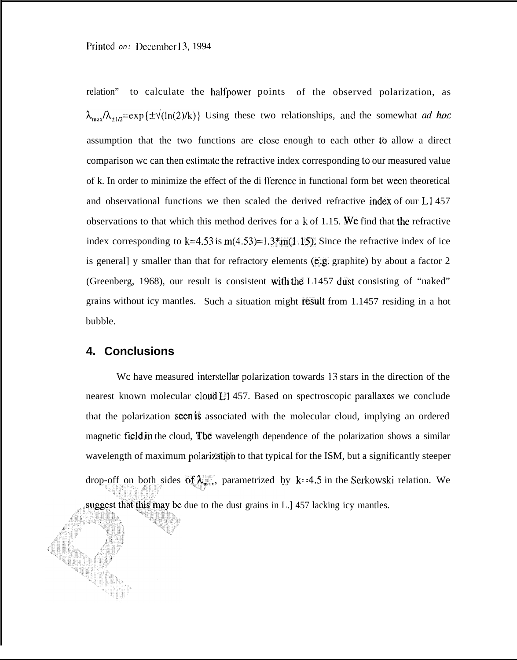relation" to calculate the halfpower points of the observed polarization, as  $\lambda_{\text{max}}/\lambda_{\pm 1/2}$ =exp { $\pm\sqrt{\ln(2)}$ k)} Using these two relationships, and the somewhat ad hoc assumption that the two functions are CIOSC enough to each other to allow a direct comparison wc can then estimate the refractive index corresponding to our measured value of k. In order to minimize the effect of the di fferencc in functional form bet wecn theoretical and observational functions we then scaled the derived refractive index of our  $L1457$ observations to that which this method derives for a k of 1.15. We find that {he refractive index corresponding to  $k=4.53$  is  $m(4.53)=1.3$ \*m(1.15). Since the refractive index of ice is generall y smaller than that for refractory elements  $(e, g)$ , graphite) by about a factor 2 (Greenberg, 1968), our result is consistent with the L1457 dust consisting of "naked" grains without icy mantles. Such a situation might result from 1.1457 residing in a hot bubble.

### **4. Conclusions**

We have measured interstellar polarization towards 13 stars in the direction of the nearest known molecular cloud L1 457. Based on spectroscopic pardlaxes we conclude that the polarization seen is associated with the molecular cloud, implying an ordered magnetic field in the cloud, The wavelength dependence of the polarization shows a similar wavelength of maximum polarization to that typical for the ISM, but a significantly steeper drop-off on both sides of  $\lambda_{\text{max}}$ , parametrized by k: 4.5 in the Serkowski relation. We suggest that this may be due to the dust grains in L.] 457 lacking icy mantles.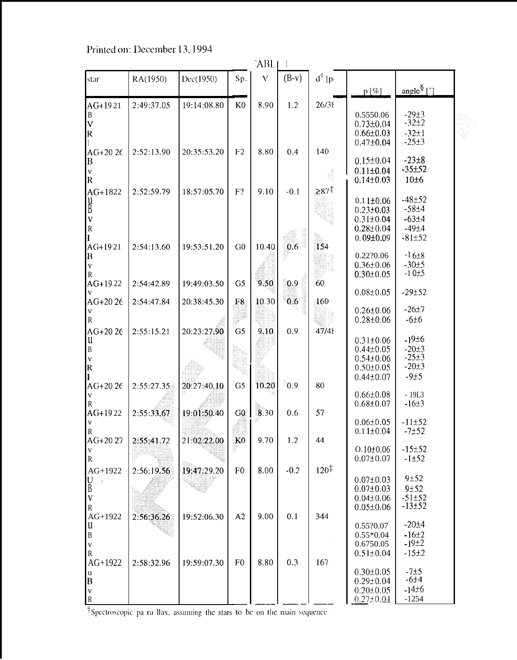| $d^{\dagger}$ [p<br>$\bar{V}$<br>$(B-v)$<br>RA(1950)<br>Dec(1950)<br>Sp.<br>star<br>angle $\frac{8}{3}$ [1]<br>$p [\%]$<br>19:14:08.80<br>8.90<br>1.2<br>AG+1921<br>2:49:37.05<br>K <sub>0</sub><br>26/38<br>$-29±3$<br>0.5550.06<br>B<br>$\overline{\mathsf{V}}$<br>$-32+2$<br>$0.73 \pm 0.04$<br>$\mathsf R$<br>$-32 \pm 1$<br>$0.66 \pm 0.03$<br>$-25±3$<br>$0.47 \pm 0.04$<br>8.80<br>AG+20 26<br>2:52:13.90<br>20:35:53.20<br>F <sub>2</sub><br>0.4<br>140<br>$-23 \pm 8$<br>$0.15 \pm 0.04$<br>B<br>$-35 + 52$<br>$0.11 \pm 0.04$<br>V<br>ś<br>$\mathsf R$<br>$0.14 \pm 0.03$<br>10±6<br>${\geq}87^{\ddagger}$<br>AG+1822<br>2:52:59.79<br>18:57:05.70<br>$F$ ?<br>9.10<br>$-0.1$<br>$-48+52$<br>$0.11 \pm 0.06$<br>y<br>B<br>$-58 + 4$<br>$0.23 \pm 0.03$<br>$\overline{\mathbf{V}}$<br>$-63±4$<br>$0.31 \pm 0.04$<br>${\bf R}$<br>$-49\pm4$<br>$0.28 \pm 0.04$<br>$0.09{\pm}0.09$<br>$-81±52$<br>G <sub>0</sub><br>10.40<br>0.6<br>154<br>AG+1921<br>19:53:51.20<br>2:54:13.60<br>$-16\pm8$<br>0.22?0.06<br>B<br>$-30±5$<br>$0.36 \pm 0.06$<br>V<br>$-10±5$<br>$0.30 \pm 0.05$<br>R<br>9.50<br>60<br>AG+1922<br>19:49:03.50<br>0.9<br>2:54:42.89<br>G <sub>5</sub><br>$-29 + 52$<br>$0.08 \pm 0.05$<br>AG+20 26<br>0.6<br>2:54:47.84<br>20:38:45.30<br>10.30<br>160<br>F8<br>$-26±7$<br>$0.26 \pm 0.06$<br>V<br>$0.28 \pm 0.06$<br>$-6±6$<br>R<br>20:23:27.90<br>G5<br>0.9<br>47/48<br>AG+20 26<br>2:55:15.21<br>9.10<br>$-19±6$<br>$0.31 \pm 0.06$<br>u<br>B<br>$0.44 \pm 0.05$<br>$-20±3$<br>$-25±3$<br>$0.54 \pm 0.06$<br>$\mathbf V$<br>$-20±3$<br>$\overline{\mathsf{R}}$<br>$0.50 \pm 0.05$<br>$-9+5$<br>$0.44 \pm 0.07$<br>0.9<br>10.20<br>AG+20 26<br>2:55:27.35<br>20:27:40.10<br>G <sub>5</sub><br>80<br>$-19L3$<br>$0.66 \pm 0.08$<br>$0.68 + 0.07$<br>$-16±3$<br>R<br>19:01:50.40<br>AG+1922<br>2:55:33.67<br>G0<br>8.30<br>0.6<br>57<br>$-11±52$<br>$0.06 \pm 0.05$<br>V<br>$0.11 \pm 0.04$<br>$-7+52$<br>${\tt R}$<br>2:55:41.72<br>$AG+2027$<br>21:02:22.00<br>K <sub>0</sub><br>9.70<br>1.2<br>44<br>$-15±52$<br>$0.10 \pm 0.06$<br>V<br>$0.07 \pm 0.07$<br>${\bf R}$<br>$-1±52$<br>$120^{\ddagger}$<br>2:56:19.56<br>19:47:29.20<br>F <sub>0</sub><br>8.00<br>$-0.2$<br>AG+1922<br>9±52<br>$\underset{\text{B}}{\text{U}}$<br>$0.07 \pm 0.03$<br>9±52<br>$0.07 \pm 0.03$<br>$\overline{\mathbf{V}}$<br>$-51±52$<br>$0.04 \pm 0.06$<br>$-13±52$<br>$0.05 \pm 0.06$<br>$\mathbf R$<br>A2<br>9.00<br>19:52:06.30<br>0.1<br>344<br>AG+1922<br>2:56:36.26<br>$-20±4$<br>0.55?0.07<br>u<br>$-16±2$<br>$\, {\bf B}$<br>$0.55*0.04$<br>$\mathcal{L}^{\text{max}}$<br>$-19±2$<br>0.6750.05<br>$\mathbf{V}$<br>${\bf R}$<br>$-15±2$<br>$0.51 \pm 0.04$ | `ABL      |            |             |                |      |     |     |  |  |  |  |
|-----------------------------------------------------------------------------------------------------------------------------------------------------------------------------------------------------------------------------------------------------------------------------------------------------------------------------------------------------------------------------------------------------------------------------------------------------------------------------------------------------------------------------------------------------------------------------------------------------------------------------------------------------------------------------------------------------------------------------------------------------------------------------------------------------------------------------------------------------------------------------------------------------------------------------------------------------------------------------------------------------------------------------------------------------------------------------------------------------------------------------------------------------------------------------------------------------------------------------------------------------------------------------------------------------------------------------------------------------------------------------------------------------------------------------------------------------------------------------------------------------------------------------------------------------------------------------------------------------------------------------------------------------------------------------------------------------------------------------------------------------------------------------------------------------------------------------------------------------------------------------------------------------------------------------------------------------------------------------------------------------------------------------------------------------------------------------------------------------------------------------------------------------------------------------------------------------------------------------------------------------------------------------------------------------------------------------------------------------------------------------------------------------------------------------------------------------------------------------------------------------------------------------------------------------------------------------------------------------------------------------------------------------------------------|-----------|------------|-------------|----------------|------|-----|-----|--|--|--|--|
|                                                                                                                                                                                                                                                                                                                                                                                                                                                                                                                                                                                                                                                                                                                                                                                                                                                                                                                                                                                                                                                                                                                                                                                                                                                                                                                                                                                                                                                                                                                                                                                                                                                                                                                                                                                                                                                                                                                                                                                                                                                                                                                                                                                                                                                                                                                                                                                                                                                                                                                                                                                                                                                                       |           |            |             |                |      |     |     |  |  |  |  |
|                                                                                                                                                                                                                                                                                                                                                                                                                                                                                                                                                                                                                                                                                                                                                                                                                                                                                                                                                                                                                                                                                                                                                                                                                                                                                                                                                                                                                                                                                                                                                                                                                                                                                                                                                                                                                                                                                                                                                                                                                                                                                                                                                                                                                                                                                                                                                                                                                                                                                                                                                                                                                                                                       |           |            |             |                |      |     |     |  |  |  |  |
|                                                                                                                                                                                                                                                                                                                                                                                                                                                                                                                                                                                                                                                                                                                                                                                                                                                                                                                                                                                                                                                                                                                                                                                                                                                                                                                                                                                                                                                                                                                                                                                                                                                                                                                                                                                                                                                                                                                                                                                                                                                                                                                                                                                                                                                                                                                                                                                                                                                                                                                                                                                                                                                                       |           |            |             |                |      |     |     |  |  |  |  |
|                                                                                                                                                                                                                                                                                                                                                                                                                                                                                                                                                                                                                                                                                                                                                                                                                                                                                                                                                                                                                                                                                                                                                                                                                                                                                                                                                                                                                                                                                                                                                                                                                                                                                                                                                                                                                                                                                                                                                                                                                                                                                                                                                                                                                                                                                                                                                                                                                                                                                                                                                                                                                                                                       |           |            |             |                |      |     |     |  |  |  |  |
|                                                                                                                                                                                                                                                                                                                                                                                                                                                                                                                                                                                                                                                                                                                                                                                                                                                                                                                                                                                                                                                                                                                                                                                                                                                                                                                                                                                                                                                                                                                                                                                                                                                                                                                                                                                                                                                                                                                                                                                                                                                                                                                                                                                                                                                                                                                                                                                                                                                                                                                                                                                                                                                                       |           |            |             |                |      |     |     |  |  |  |  |
|                                                                                                                                                                                                                                                                                                                                                                                                                                                                                                                                                                                                                                                                                                                                                                                                                                                                                                                                                                                                                                                                                                                                                                                                                                                                                                                                                                                                                                                                                                                                                                                                                                                                                                                                                                                                                                                                                                                                                                                                                                                                                                                                                                                                                                                                                                                                                                                                                                                                                                                                                                                                                                                                       |           |            |             |                |      |     |     |  |  |  |  |
|                                                                                                                                                                                                                                                                                                                                                                                                                                                                                                                                                                                                                                                                                                                                                                                                                                                                                                                                                                                                                                                                                                                                                                                                                                                                                                                                                                                                                                                                                                                                                                                                                                                                                                                                                                                                                                                                                                                                                                                                                                                                                                                                                                                                                                                                                                                                                                                                                                                                                                                                                                                                                                                                       |           |            |             |                |      |     |     |  |  |  |  |
|                                                                                                                                                                                                                                                                                                                                                                                                                                                                                                                                                                                                                                                                                                                                                                                                                                                                                                                                                                                                                                                                                                                                                                                                                                                                                                                                                                                                                                                                                                                                                                                                                                                                                                                                                                                                                                                                                                                                                                                                                                                                                                                                                                                                                                                                                                                                                                                                                                                                                                                                                                                                                                                                       |           |            |             |                |      |     |     |  |  |  |  |
|                                                                                                                                                                                                                                                                                                                                                                                                                                                                                                                                                                                                                                                                                                                                                                                                                                                                                                                                                                                                                                                                                                                                                                                                                                                                                                                                                                                                                                                                                                                                                                                                                                                                                                                                                                                                                                                                                                                                                                                                                                                                                                                                                                                                                                                                                                                                                                                                                                                                                                                                                                                                                                                                       |           |            |             |                |      |     |     |  |  |  |  |
|                                                                                                                                                                                                                                                                                                                                                                                                                                                                                                                                                                                                                                                                                                                                                                                                                                                                                                                                                                                                                                                                                                                                                                                                                                                                                                                                                                                                                                                                                                                                                                                                                                                                                                                                                                                                                                                                                                                                                                                                                                                                                                                                                                                                                                                                                                                                                                                                                                                                                                                                                                                                                                                                       |           |            |             |                |      |     |     |  |  |  |  |
|                                                                                                                                                                                                                                                                                                                                                                                                                                                                                                                                                                                                                                                                                                                                                                                                                                                                                                                                                                                                                                                                                                                                                                                                                                                                                                                                                                                                                                                                                                                                                                                                                                                                                                                                                                                                                                                                                                                                                                                                                                                                                                                                                                                                                                                                                                                                                                                                                                                                                                                                                                                                                                                                       |           |            |             |                |      |     |     |  |  |  |  |
|                                                                                                                                                                                                                                                                                                                                                                                                                                                                                                                                                                                                                                                                                                                                                                                                                                                                                                                                                                                                                                                                                                                                                                                                                                                                                                                                                                                                                                                                                                                                                                                                                                                                                                                                                                                                                                                                                                                                                                                                                                                                                                                                                                                                                                                                                                                                                                                                                                                                                                                                                                                                                                                                       |           |            |             |                |      |     |     |  |  |  |  |
|                                                                                                                                                                                                                                                                                                                                                                                                                                                                                                                                                                                                                                                                                                                                                                                                                                                                                                                                                                                                                                                                                                                                                                                                                                                                                                                                                                                                                                                                                                                                                                                                                                                                                                                                                                                                                                                                                                                                                                                                                                                                                                                                                                                                                                                                                                                                                                                                                                                                                                                                                                                                                                                                       |           |            |             |                |      |     |     |  |  |  |  |
|                                                                                                                                                                                                                                                                                                                                                                                                                                                                                                                                                                                                                                                                                                                                                                                                                                                                                                                                                                                                                                                                                                                                                                                                                                                                                                                                                                                                                                                                                                                                                                                                                                                                                                                                                                                                                                                                                                                                                                                                                                                                                                                                                                                                                                                                                                                                                                                                                                                                                                                                                                                                                                                                       |           |            |             |                |      |     |     |  |  |  |  |
|                                                                                                                                                                                                                                                                                                                                                                                                                                                                                                                                                                                                                                                                                                                                                                                                                                                                                                                                                                                                                                                                                                                                                                                                                                                                                                                                                                                                                                                                                                                                                                                                                                                                                                                                                                                                                                                                                                                                                                                                                                                                                                                                                                                                                                                                                                                                                                                                                                                                                                                                                                                                                                                                       |           |            |             |                |      |     |     |  |  |  |  |
|                                                                                                                                                                                                                                                                                                                                                                                                                                                                                                                                                                                                                                                                                                                                                                                                                                                                                                                                                                                                                                                                                                                                                                                                                                                                                                                                                                                                                                                                                                                                                                                                                                                                                                                                                                                                                                                                                                                                                                                                                                                                                                                                                                                                                                                                                                                                                                                                                                                                                                                                                                                                                                                                       |           |            |             |                |      |     |     |  |  |  |  |
|                                                                                                                                                                                                                                                                                                                                                                                                                                                                                                                                                                                                                                                                                                                                                                                                                                                                                                                                                                                                                                                                                                                                                                                                                                                                                                                                                                                                                                                                                                                                                                                                                                                                                                                                                                                                                                                                                                                                                                                                                                                                                                                                                                                                                                                                                                                                                                                                                                                                                                                                                                                                                                                                       |           |            |             |                |      |     |     |  |  |  |  |
|                                                                                                                                                                                                                                                                                                                                                                                                                                                                                                                                                                                                                                                                                                                                                                                                                                                                                                                                                                                                                                                                                                                                                                                                                                                                                                                                                                                                                                                                                                                                                                                                                                                                                                                                                                                                                                                                                                                                                                                                                                                                                                                                                                                                                                                                                                                                                                                                                                                                                                                                                                                                                                                                       |           |            |             |                |      |     |     |  |  |  |  |
|                                                                                                                                                                                                                                                                                                                                                                                                                                                                                                                                                                                                                                                                                                                                                                                                                                                                                                                                                                                                                                                                                                                                                                                                                                                                                                                                                                                                                                                                                                                                                                                                                                                                                                                                                                                                                                                                                                                                                                                                                                                                                                                                                                                                                                                                                                                                                                                                                                                                                                                                                                                                                                                                       |           |            |             |                |      |     |     |  |  |  |  |
|                                                                                                                                                                                                                                                                                                                                                                                                                                                                                                                                                                                                                                                                                                                                                                                                                                                                                                                                                                                                                                                                                                                                                                                                                                                                                                                                                                                                                                                                                                                                                                                                                                                                                                                                                                                                                                                                                                                                                                                                                                                                                                                                                                                                                                                                                                                                                                                                                                                                                                                                                                                                                                                                       |           |            |             |                |      |     |     |  |  |  |  |
|                                                                                                                                                                                                                                                                                                                                                                                                                                                                                                                                                                                                                                                                                                                                                                                                                                                                                                                                                                                                                                                                                                                                                                                                                                                                                                                                                                                                                                                                                                                                                                                                                                                                                                                                                                                                                                                                                                                                                                                                                                                                                                                                                                                                                                                                                                                                                                                                                                                                                                                                                                                                                                                                       |           |            |             |                |      |     |     |  |  |  |  |
|                                                                                                                                                                                                                                                                                                                                                                                                                                                                                                                                                                                                                                                                                                                                                                                                                                                                                                                                                                                                                                                                                                                                                                                                                                                                                                                                                                                                                                                                                                                                                                                                                                                                                                                                                                                                                                                                                                                                                                                                                                                                                                                                                                                                                                                                                                                                                                                                                                                                                                                                                                                                                                                                       |           |            |             |                |      |     |     |  |  |  |  |
|                                                                                                                                                                                                                                                                                                                                                                                                                                                                                                                                                                                                                                                                                                                                                                                                                                                                                                                                                                                                                                                                                                                                                                                                                                                                                                                                                                                                                                                                                                                                                                                                                                                                                                                                                                                                                                                                                                                                                                                                                                                                                                                                                                                                                                                                                                                                                                                                                                                                                                                                                                                                                                                                       |           |            |             |                |      |     |     |  |  |  |  |
|                                                                                                                                                                                                                                                                                                                                                                                                                                                                                                                                                                                                                                                                                                                                                                                                                                                                                                                                                                                                                                                                                                                                                                                                                                                                                                                                                                                                                                                                                                                                                                                                                                                                                                                                                                                                                                                                                                                                                                                                                                                                                                                                                                                                                                                                                                                                                                                                                                                                                                                                                                                                                                                                       |           |            |             |                |      |     |     |  |  |  |  |
|                                                                                                                                                                                                                                                                                                                                                                                                                                                                                                                                                                                                                                                                                                                                                                                                                                                                                                                                                                                                                                                                                                                                                                                                                                                                                                                                                                                                                                                                                                                                                                                                                                                                                                                                                                                                                                                                                                                                                                                                                                                                                                                                                                                                                                                                                                                                                                                                                                                                                                                                                                                                                                                                       |           |            |             |                |      |     |     |  |  |  |  |
|                                                                                                                                                                                                                                                                                                                                                                                                                                                                                                                                                                                                                                                                                                                                                                                                                                                                                                                                                                                                                                                                                                                                                                                                                                                                                                                                                                                                                                                                                                                                                                                                                                                                                                                                                                                                                                                                                                                                                                                                                                                                                                                                                                                                                                                                                                                                                                                                                                                                                                                                                                                                                                                                       |           |            |             |                |      |     |     |  |  |  |  |
|                                                                                                                                                                                                                                                                                                                                                                                                                                                                                                                                                                                                                                                                                                                                                                                                                                                                                                                                                                                                                                                                                                                                                                                                                                                                                                                                                                                                                                                                                                                                                                                                                                                                                                                                                                                                                                                                                                                                                                                                                                                                                                                                                                                                                                                                                                                                                                                                                                                                                                                                                                                                                                                                       |           |            |             |                |      |     |     |  |  |  |  |
|                                                                                                                                                                                                                                                                                                                                                                                                                                                                                                                                                                                                                                                                                                                                                                                                                                                                                                                                                                                                                                                                                                                                                                                                                                                                                                                                                                                                                                                                                                                                                                                                                                                                                                                                                                                                                                                                                                                                                                                                                                                                                                                                                                                                                                                                                                                                                                                                                                                                                                                                                                                                                                                                       |           |            |             |                |      |     |     |  |  |  |  |
|                                                                                                                                                                                                                                                                                                                                                                                                                                                                                                                                                                                                                                                                                                                                                                                                                                                                                                                                                                                                                                                                                                                                                                                                                                                                                                                                                                                                                                                                                                                                                                                                                                                                                                                                                                                                                                                                                                                                                                                                                                                                                                                                                                                                                                                                                                                                                                                                                                                                                                                                                                                                                                                                       |           |            |             |                |      |     |     |  |  |  |  |
|                                                                                                                                                                                                                                                                                                                                                                                                                                                                                                                                                                                                                                                                                                                                                                                                                                                                                                                                                                                                                                                                                                                                                                                                                                                                                                                                                                                                                                                                                                                                                                                                                                                                                                                                                                                                                                                                                                                                                                                                                                                                                                                                                                                                                                                                                                                                                                                                                                                                                                                                                                                                                                                                       |           |            |             |                |      |     |     |  |  |  |  |
|                                                                                                                                                                                                                                                                                                                                                                                                                                                                                                                                                                                                                                                                                                                                                                                                                                                                                                                                                                                                                                                                                                                                                                                                                                                                                                                                                                                                                                                                                                                                                                                                                                                                                                                                                                                                                                                                                                                                                                                                                                                                                                                                                                                                                                                                                                                                                                                                                                                                                                                                                                                                                                                                       |           |            |             |                |      |     |     |  |  |  |  |
|                                                                                                                                                                                                                                                                                                                                                                                                                                                                                                                                                                                                                                                                                                                                                                                                                                                                                                                                                                                                                                                                                                                                                                                                                                                                                                                                                                                                                                                                                                                                                                                                                                                                                                                                                                                                                                                                                                                                                                                                                                                                                                                                                                                                                                                                                                                                                                                                                                                                                                                                                                                                                                                                       |           |            |             |                |      |     |     |  |  |  |  |
|                                                                                                                                                                                                                                                                                                                                                                                                                                                                                                                                                                                                                                                                                                                                                                                                                                                                                                                                                                                                                                                                                                                                                                                                                                                                                                                                                                                                                                                                                                                                                                                                                                                                                                                                                                                                                                                                                                                                                                                                                                                                                                                                                                                                                                                                                                                                                                                                                                                                                                                                                                                                                                                                       |           |            |             |                |      |     |     |  |  |  |  |
|                                                                                                                                                                                                                                                                                                                                                                                                                                                                                                                                                                                                                                                                                                                                                                                                                                                                                                                                                                                                                                                                                                                                                                                                                                                                                                                                                                                                                                                                                                                                                                                                                                                                                                                                                                                                                                                                                                                                                                                                                                                                                                                                                                                                                                                                                                                                                                                                                                                                                                                                                                                                                                                                       |           |            |             |                |      |     |     |  |  |  |  |
|                                                                                                                                                                                                                                                                                                                                                                                                                                                                                                                                                                                                                                                                                                                                                                                                                                                                                                                                                                                                                                                                                                                                                                                                                                                                                                                                                                                                                                                                                                                                                                                                                                                                                                                                                                                                                                                                                                                                                                                                                                                                                                                                                                                                                                                                                                                                                                                                                                                                                                                                                                                                                                                                       |           |            |             |                |      |     |     |  |  |  |  |
|                                                                                                                                                                                                                                                                                                                                                                                                                                                                                                                                                                                                                                                                                                                                                                                                                                                                                                                                                                                                                                                                                                                                                                                                                                                                                                                                                                                                                                                                                                                                                                                                                                                                                                                                                                                                                                                                                                                                                                                                                                                                                                                                                                                                                                                                                                                                                                                                                                                                                                                                                                                                                                                                       |           |            |             |                |      |     |     |  |  |  |  |
|                                                                                                                                                                                                                                                                                                                                                                                                                                                                                                                                                                                                                                                                                                                                                                                                                                                                                                                                                                                                                                                                                                                                                                                                                                                                                                                                                                                                                                                                                                                                                                                                                                                                                                                                                                                                                                                                                                                                                                                                                                                                                                                                                                                                                                                                                                                                                                                                                                                                                                                                                                                                                                                                       |           |            |             |                |      |     |     |  |  |  |  |
|                                                                                                                                                                                                                                                                                                                                                                                                                                                                                                                                                                                                                                                                                                                                                                                                                                                                                                                                                                                                                                                                                                                                                                                                                                                                                                                                                                                                                                                                                                                                                                                                                                                                                                                                                                                                                                                                                                                                                                                                                                                                                                                                                                                                                                                                                                                                                                                                                                                                                                                                                                                                                                                                       |           |            |             |                |      |     |     |  |  |  |  |
|                                                                                                                                                                                                                                                                                                                                                                                                                                                                                                                                                                                                                                                                                                                                                                                                                                                                                                                                                                                                                                                                                                                                                                                                                                                                                                                                                                                                                                                                                                                                                                                                                                                                                                                                                                                                                                                                                                                                                                                                                                                                                                                                                                                                                                                                                                                                                                                                                                                                                                                                                                                                                                                                       |           |            |             |                |      |     |     |  |  |  |  |
|                                                                                                                                                                                                                                                                                                                                                                                                                                                                                                                                                                                                                                                                                                                                                                                                                                                                                                                                                                                                                                                                                                                                                                                                                                                                                                                                                                                                                                                                                                                                                                                                                                                                                                                                                                                                                                                                                                                                                                                                                                                                                                                                                                                                                                                                                                                                                                                                                                                                                                                                                                                                                                                                       |           |            |             |                |      |     |     |  |  |  |  |
|                                                                                                                                                                                                                                                                                                                                                                                                                                                                                                                                                                                                                                                                                                                                                                                                                                                                                                                                                                                                                                                                                                                                                                                                                                                                                                                                                                                                                                                                                                                                                                                                                                                                                                                                                                                                                                                                                                                                                                                                                                                                                                                                                                                                                                                                                                                                                                                                                                                                                                                                                                                                                                                                       |           |            |             |                |      |     |     |  |  |  |  |
|                                                                                                                                                                                                                                                                                                                                                                                                                                                                                                                                                                                                                                                                                                                                                                                                                                                                                                                                                                                                                                                                                                                                                                                                                                                                                                                                                                                                                                                                                                                                                                                                                                                                                                                                                                                                                                                                                                                                                                                                                                                                                                                                                                                                                                                                                                                                                                                                                                                                                                                                                                                                                                                                       |           |            |             |                |      |     |     |  |  |  |  |
|                                                                                                                                                                                                                                                                                                                                                                                                                                                                                                                                                                                                                                                                                                                                                                                                                                                                                                                                                                                                                                                                                                                                                                                                                                                                                                                                                                                                                                                                                                                                                                                                                                                                                                                                                                                                                                                                                                                                                                                                                                                                                                                                                                                                                                                                                                                                                                                                                                                                                                                                                                                                                                                                       | $AG+1922$ | 2:58:32.96 | 19:59:07.30 | F <sub>0</sub> | 8.80 | 0.3 | 167 |  |  |  |  |
| $0.30 \pm 0.05$<br>$-7±5$<br>u                                                                                                                                                                                                                                                                                                                                                                                                                                                                                                                                                                                                                                                                                                                                                                                                                                                                                                                                                                                                                                                                                                                                                                                                                                                                                                                                                                                                                                                                                                                                                                                                                                                                                                                                                                                                                                                                                                                                                                                                                                                                                                                                                                                                                                                                                                                                                                                                                                                                                                                                                                                                                                        |           |            |             |                |      |     |     |  |  |  |  |
| $\mathbf B$<br>$-614$<br>$0.29 \pm 0.04$<br>$-14\pm6$<br>$0.20 \pm 0.05$                                                                                                                                                                                                                                                                                                                                                                                                                                                                                                                                                                                                                                                                                                                                                                                                                                                                                                                                                                                                                                                                                                                                                                                                                                                                                                                                                                                                                                                                                                                                                                                                                                                                                                                                                                                                                                                                                                                                                                                                                                                                                                                                                                                                                                                                                                                                                                                                                                                                                                                                                                                              |           |            |             |                |      |     |     |  |  |  |  |
| $\mathbf V$<br>${\bf R}$<br>$-1254$<br>$0.27 \pm 0.04$                                                                                                                                                                                                                                                                                                                                                                                                                                                                                                                                                                                                                                                                                                                                                                                                                                                                                                                                                                                                                                                                                                                                                                                                                                                                                                                                                                                                                                                                                                                                                                                                                                                                                                                                                                                                                                                                                                                                                                                                                                                                                                                                                                                                                                                                                                                                                                                                                                                                                                                                                                                                                |           |            |             |                |      |     |     |  |  |  |  |

<sup>†</sup>Spectroscopic pa ra llax, assuming the stars to be on the main sequence.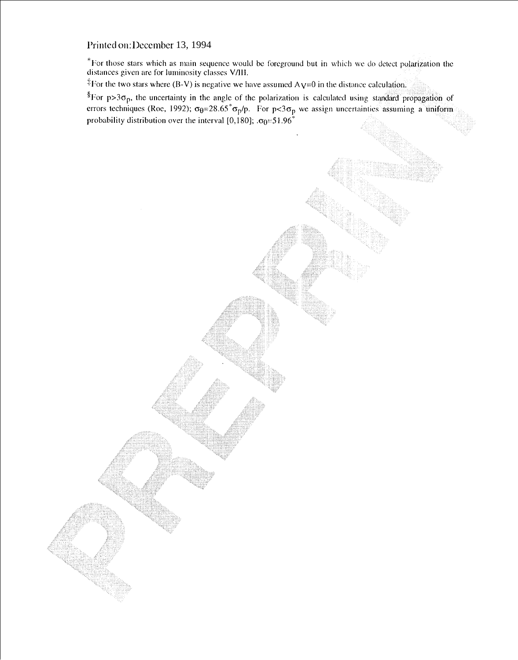\*For those stars which as main sequence would be foreground but in which we do detect polarization the distances given are for luminosity classes  $V/III$ .

<sup>‡</sup>For the two stars where (B-V) is negative we have assumed  $Ay=0$  in the distance calculation.

 ${}^{8}$ For p>3 $\sigma_{p}$ , the uncertainty in the angle of the polarization is calculated using standard propagation of errors techniques (Roe, 1992);  $\sigma_{\theta} = 28.65^{\circ} \sigma_{p}/p$ . For  $p < 3\sigma_{p}$  we assign uncertainties assuming a uniform probability distribution over the interval [0,180];  $\sigma_0 = 51.96^\circ$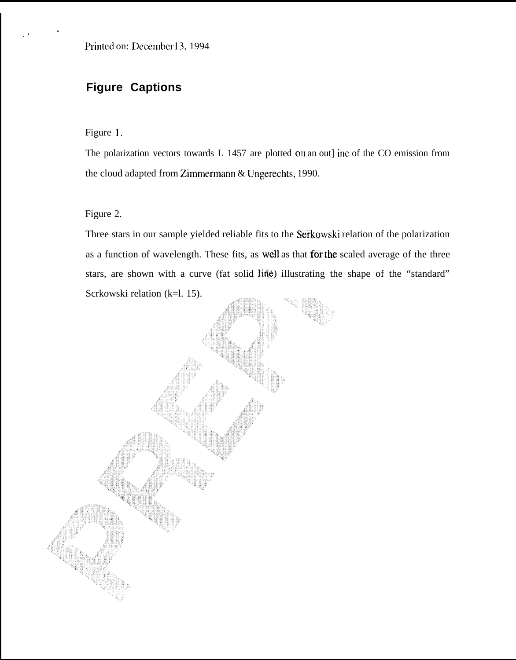# **Figure Captions**

Figure 1.

.'

.

The polarization vectors towards L 1457 are plotted on an out] ine of the CO emission from the cloud adapted from Zimmermann & Ungerechts, 1990.

Figure 2.

Three stars in our sample yielded reliable fits to the Serkowski relation of the polarization as a function of wavelength. These fits, as well as that for the scaled average of the three stars, are shown with a curve (fat solid line) illustrating the shape of the "standard" Scrkowski relation (k=l. 15).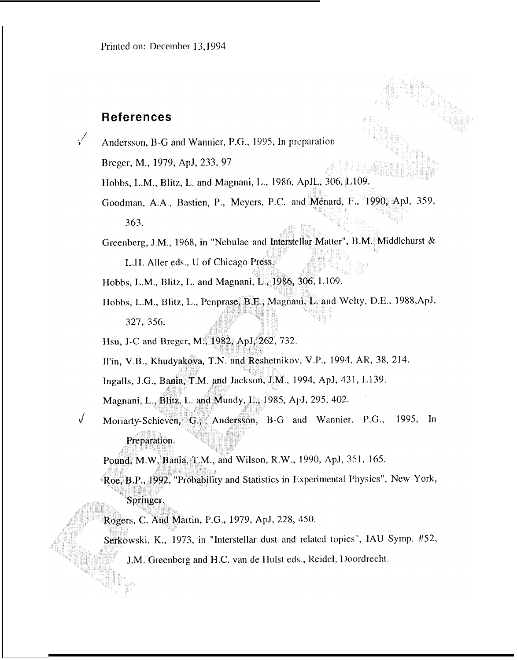## **References**

√

Andersson, B-G and Wannier, P.G., 1995, In preparation

Breger, M., 1979, ApJ, 233, 97

- Hobbs, L.M., Blitz, L. and Magnani, L., 1986, ApJL, 306, L109.
- Goodman, A.A., Bastien, P., Meyers, P.C. and Ménard, F., 1990, ApJ, 359, 363.
- Greenberg, J.M., 1968, in "Nebulae and Interstellar Matter", B.M. Middlehurst & L.H. Aller eds., U of Chicago Press.

Hobbs, L.M., Blitz, L. and Magnani, L., 1986, 306, L109.

Hobbs, L.M., Blitz, L., Penprase, B.E., Magnani, L. and Welty, D.E., 1988, ApJ, 327, 356.

Hsu, J-C and Breger, M., 1982, ApJ, 262, 732.

Il'in, V.B., Khudyakova, T.N. and Reshetnikov, V.P., 1994, AR, 38, 214.

Ingalls, J.G., Bania, T.M. and Jackson, J.M., 1994, ApJ, 431, L139.

Magnani, L., Blitz, L. and Mundy, L., 1985, ApJ, 295, 402.

J Moriarty-Schieven, G., Andersson, B-G and Wannier, P.G., 1995, In Preparation.

Pound, M.W. Bania, T.M., and Wilson, R.W., 1990, ApJ, 351, 165.

Roe, B.P., 1992, "Probability and Statistics in Experimental Physics", New York, Springer.

Rogers, C. And Martin, P.G., 1979, ApJ, 228, 450.

Serkowski, K., 1973, in "Interstellar dust and related topics", IAU Symp. #52,

J.M. Greenberg and H.C. van de Hulst eds., Reidel, Doordrecht.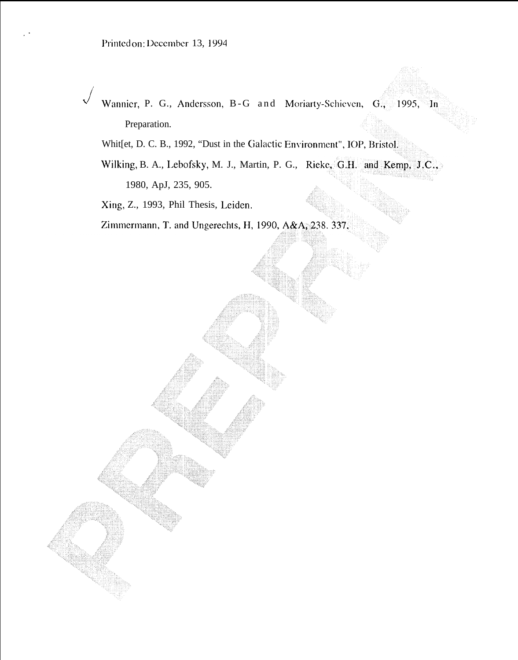,.

- $\sqrt{2}$ Wannier, P. G., Andersson, B-G and Moriarty-Schieven, G., 1995,  $\ln$ Preparation.
	- Whit[et, D. C. B., 1992, "Dust in the Galactic Environment", IOP, Bristol.
	- Wilking, B. A., Lebofsky, M. J., Martin, P. G., Rieke, G.H. and Kemp, J.C., 1980, ApJ, 235, 905.

Xing, Z., 1993, Phil Thesis, Leiden.

Zimmermann, T. and Ungerechts, H, 1990, A&A, 238. 337.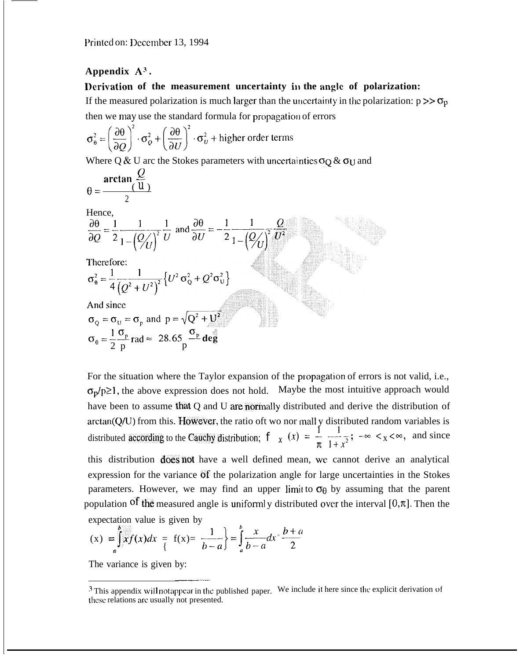### **Appendix A3 .**

#### **I)**erivation of the measurement uncertainty in the angle of polarization:

If the measured polarization is much larger than the uncertainty in the polarization:  $p >> \sigma_p$ then we may use the standard formula for propagation of errors

$$
\sigma_{\theta}^{2} = \left(\frac{\partial \theta}{\partial Q}\right)^{2} \cdot \sigma_{Q}^{2} + \left(\frac{\partial \theta}{\partial U}\right)^{2} \cdot \sigma_{U}^{2} + \text{higher order terms}
$$

Where Q & U arc the Stokes parameters with uncertainties  $\sigma_Q \& \sigma_U$  and

$$
\theta = \frac{\arctan\frac{Q}{(u)}}{2}
$$

 $U$ <sub>once</sub>

Hence,  
\n
$$
\frac{\partial \theta}{\partial Q} = \frac{1}{2} \frac{1}{1 - (\frac{Q}{U})^2} \frac{1}{U} \text{ and } \frac{\partial \theta}{\partial U} = -\frac{1}{2} \frac{1}{1 - (\frac{Q}{U})^2} \frac{Q}{U^2}
$$
\nTherefore:  
\n
$$
\sigma_0^2 = \frac{1}{4} \frac{1}{(\frac{Q^2}{V^2} + U^2)^2} \left\{ U^2 \sigma_0^2 + Q^2 \sigma_0^2 \right\}
$$
\nAnd since  
\n
$$
\sigma_Q = \sigma_U = \sigma_p \text{ and } p = \sqrt{Q^2 + U^2}
$$
\n
$$
\sigma_\theta = \frac{1}{2} \frac{\sigma_p}{p} \text{ rad} \approx 28.65 \frac{\sigma_p}{p} \text{ deg}
$$

For the situation where the Taylor expansion of the propagation of errors is not valid, i.e.,  $\sigma_p/p\geq 1$ , the above expression does not hold. Maybe the most intuitive approach would have been to assume that  $Q$  and  $U$  are normally distributed and derive the distribution of arctan(Q/U) from this. However, the ratio oft wo nor mall y distributed random variables is distributed according to the Cauchy distribution;  $\int x(x) = \frac{1}{x} \frac{1}{1+x^2}$ ;  $-\infty < x < \infty$ , and since

this distribution does not have a well defined mean, we cannot derive an analytical expression for the variance of the polarization angle for large uncertainties in the Stokes parameters. However, we may find an upper limit to  $\sigma_{\theta}$  by assuming that the parent population of the measured angle is uniformly distributed over the interval  $[0, \pi]$ . Then the expectation value is given by

$$
(x) = \int_{a}^{b} xf(x)dx = f(x) = \frac{1}{b-a} = \int_{a}^{b} \frac{x}{b-a}dx = \frac{b+a}{2}
$$

The variance is given by: ——

 $3$  This appendix will not appear in the published paper. We include it here since the explicit derivation of these relations are usually not presented.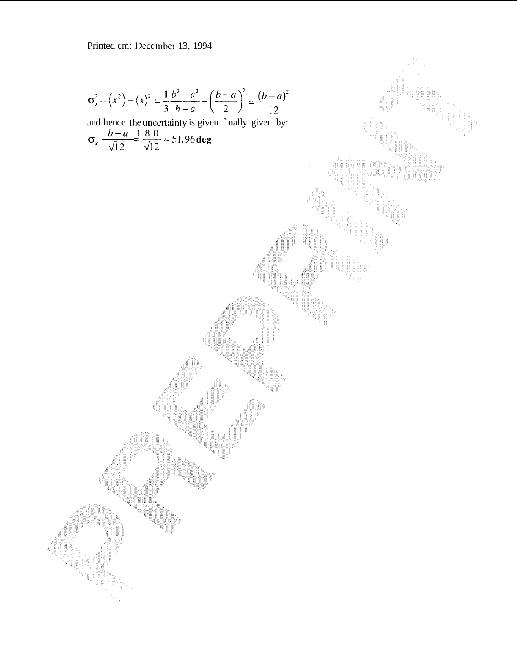$$
\sigma_x^2 = \langle x^2 \rangle - \langle x \rangle^2 = \frac{1}{3} \frac{b^3 - a^3}{b - a} - \left(\frac{b + a}{2}\right)^2 = \frac{(b - a)^2}{12}
$$
  
and hence the uncertainty is given finally given by:

 $\sigma_x \frac{b-a}{\sqrt{12}} = \frac{1}{\sqrt{12}} \approx 51.96 \text{ deg}$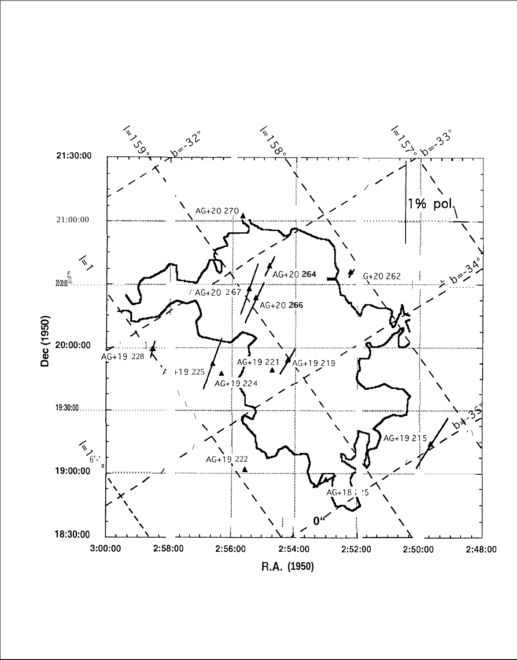